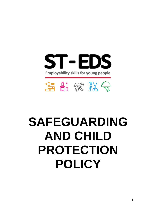

# **SAFEGUARDING AND CHILD PROTECTION POLICY**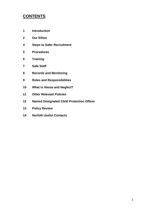# **CONTENTS**

- **Introduction**
- **Our Ethos**
- **Steps to Safer Recruitment**
- **Procedures**
- **Training**
- **Safe Staff**
- **Records and Monitoring**
- **Roles and Responsibilities**
- **What is Abuse and Neglect?**
- **Other Relevant Policies**
- **Named Designated Child Protection Officer**
- **Policy Review**
- **Norfolk Useful Contacts**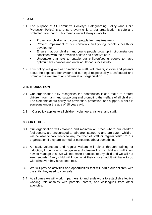# **1. AIM**

- 1.1 The purpose of St Edmund's Society's Safeguarding Policy (and Child Protection Policy) is to ensure every child at our organisation is safe and protected from harm. This means we will always work to:
	- Protect our children and young people from maltreatment
	- Prevent impairment of our children's and young people's health or development
	- Ensure that our children and young people grow up in circumstances consistent with the provision of safe and effective care
	- Undertake that role to enable our children/young people to have optimum life chances and enter adulthood successfully.
- 1.2 This policy will give clear direction to staff, volunteers, visitors and parents about the expected behaviour and our legal responsibility to safeguard and promote the welfare of all children at our organisation.

# **2. INTRODUCTION**

- 2.1 Our organisation fully recognises the contribution it can make to protect children from harm and supporting and promoting the welfare of all children. The elements of our policy are prevention, protection, and support. A child is someone under the age of 18 years old.
- 2.2 Our policy applies to all children, volunteers, visitors, and staff.

# **3. OUR ETHOS**

- 3.1 Our organisation will establish and maintain an ethos where our children feel secure, are encouraged to talk, are listened to and are safe. Children will be able to talk freely to any member of staff or regular visitor to our organisation if they are worried or concerned about something.
- 3.2 All staff, volunteers and regular visitors will, either through training or induction, know how to recognise a disclosure from a child and will know how to manage this. We will not make promises to any child and we will not keep secrets. Every child will know what their chosen adult will have to do with whatever they have been told.
- 3.3 We will provide activities and opportunities that will equip our children with the skills they need to stay safe.
- 3.4 At all times we will work in partnership and endeavour to establish effective working relationships with parents, carers, and colleagues from other agencies.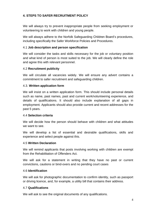# **4. STEPS TO SAFER RECRUITMENT POLICY**

We will always try to prevent inappropriate people from seeking employment or volunteering to work with children and young people.

We will always adhere to the Norfolk Safeguarding Children Board's procedures, including specifically the Safer Workforce Policies and Procedures.

#### 4.1 **Job description and person specification**

We will consider the tasks and skills necessary for the job or voluntary position and what kind of person is most suited to the job. We will clearly define the role and agree this with relevant personnel.

#### 4.2 **Recruitment publicity**

We will circulate all vacancies widely. We will ensure any advert contains a commitment to safer recruitment and safeguarding children.

#### 4.3. **Written application form**

We will insist on a written application form. This should include personal details such as name, past names, past and current work/volunteering experience, and details of qualifications. It should also include explanation of all gaps in employment. Applicants should also provide current and recent addresses for the past 5 years.

#### 4.4 **Selection criteria**

We will decide how the person should behave with children and what attitudes we want to see.

We will develop a list of essential and desirable qualifications, skills and experience and select people against this.

#### 4.5 **Written Declaration**

We will remind applicants that posts involving working with children are exempt from the Rehabilitation of Offenders Act.

We will ask for a statement in writing that they have no past or current convictions, cautions or bind-overs and no pending court cases

#### 4.6 **Identification**

We will ask for photographic documentation to confirm identity, such as passport or driving licence, and, for example, a utility bill that contains their address.

#### 4.7 **Qualifications**

We will ask to see the original documents of any qualifications.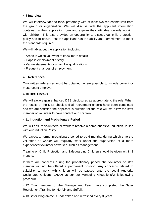#### 4.8 **Interview**

We will interview face to face, preferably with at least two representatives from the group or organisation. We will discuss with the applicant information contained in their application form and explore their attitudes towards working with children. This also provides an opportunity to discuss our child protection policy and to ensure that the applicant has the ability and commitment to meet the standards required.

We will talk about the application including:

- •- Areas in which you want to know more details
- •- Gaps in employment history
- •- Vague statements or unfamiliar qualifications
- •- Frequent changes of employment

#### 4.9 **References**

Two written references must be obtained, where possible to include current or most recent employer.

#### 4.10 **DBS Checks**

We will always gain enhanced DBS disclosures as appropriate to the role. When the results of the DBS check and all recruitment checks have been completed and we are satisfied the applicant is suitable for the role will we allow the staff member or volunteer to have contact with children.

#### 4.11 **Induction and Probationary Period**

We will ensure volunteers or workers receive a comprehensive induction, in line with our Induction Policy.

We expect a normal probationary period to be 6 months, during which time the volunteer or worker will regularly work under the supervision of a more experienced volunteer or worker, such as management.

Training on Child Protection and Safeguarding Children should be given within 3 months.

If there are concerns during the probationary period, the volunteer or staff member will not be offered a permanent position. Any concerns related to suitability to work with children will be passed onto the Local Authority Designated Officers (LADO) as per our Managing Allegations/Whistleblowing procedure.

4.12 Two members of the Management Team have completed the Safer Recruitment Training for Norfolk and Suffolk.

4.13 Safer Programme is undertaken and refreshed every 3 years.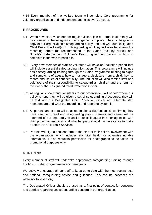4.14 Every member of the welfare team will complete Core programme for voluntary organisation and independent agencies every 2 years.

# **5. PROCEDURES**

- 5.1 When new staff, volunteers or regular visitors join our organisation they will be informed of the safeguarding arrangements in place. They will be given a copy of our organisation's safeguarding policy and told who our Designated Child Protection Lead(s) for Safeguarding is. They will also be shown the recording format (as recommended in the Safer Pack by Norfolk and Suffolk's Safeguarding Children's Board), given information on how to complete it and who to pass it to.
- 5.2 Every new member of staff or volunteer will have an induction period that will include essential safeguarding information. This programme will include basic safeguarding training through the Safer Programme relating to signs and symptoms of abuse, how to manage a disclosure from a child, how to record and issues of confidentiality. The induction will also remind staff and volunteers of their responsibility to safeguard all children and the remit of the role of the Designated Child Protection Officer.
- 5.3. All regular visitors and volunteers to our organisation will be told where our policy is kept, they will be given a set of safeguarding procedures, they will be told who our Designated Child Protection Officer and alternate staff members are and what the recording and reporting system is.
- 5.4 All parents and carers will be asked to sign a distribution list confirming they have seen and read our safeguarding policy. Parents and carers will be informed of our legal duty to assist our colleagues in other agencies with child protection enquiries and what happens should we have cause to make a referral to Children's Services.
- 5.5 Parents will sign a consent form at the start of their child's involvement with the organisation, which includes any vital health or otherwise notable information. It also requests permission for photographs to be taken for promotional purposes only.

#### **6. TRAINING**

Every member of staff will undertake appropriate safeguarding training through the NSCB Safer Programme every three years.

We actively encourage all our staff to keep up to date with the most recent local and national safeguarding advice and guidance. This can be accessed via **www.norfolklscb.org**

The Designated Officer should be used as a first point of contact for concerns and queries regarding any safeguarding concern in our organisation.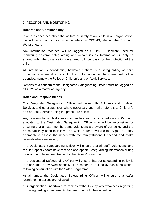# **7. RECORDS AND MONITORING**

#### **Records and Confidentiality**

If we are concerned about the welfare or safety of any child in our organisation, we will record our concerns immediately on CPOMS, alerting the DSL and Welfare team

Any information recorded will be logged on CPOMS – software used for monitoring pastoral, safeguarding and welfare issues. Information will only be shared within the organisation on a need to know basis for the protection of the child.

All information is confidential, however if there is a safeguarding or child protection concern about a child, then information can be shared with other agencies, namely the Police or Children's and or Adult Services.

Reports of a concern to the Designated Safeguarding Officer must be logged on CPOMS as a matter of urgency.

#### **Roles and Responsibilities**

Our Designated Safeguarding Officer will liaise with Children's and or Adult Services and other agencies where necessary and make referrals to Children's and or Adult Services using the procedure below.

Any concern for a child's safety or welfare will be recorded on CPOMS and allocated to the Designated Safeguarding Officer who will be responsible for ensuring that all staff members and volunteers are aware of our policy and the procedure they need to follow. The Welfare Team will use the Signs of Safety approach to assess the needs with the family/student if needed and make referrals where necessary.

The Designated Safeguarding Officer will ensure that all staff, volunteers, and regular/repeat visitors have received appropriate Safeguarding information during induction and have been trained by the Safer Programme.

The Designated Safeguarding Officer will ensure that our safeguarding policy is in place and is reviewed annually. The content of our policy has been written following consultation with the Safer Programme.

At all times, the Designated Safeguarding Officer will ensure that safer recruitment practices are followed.

Our organisation undertakes to remedy without delay any weakness regarding our safeguarding arrangements that are brought to their attention.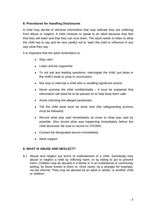### **8. Procedures for Handling Disclosures**

A child may decide to disclose information that may indicate they are suffering from abuse or neglect. A child chooses to speak to an adult because they feel that they will listen and that they can trust them. The adult needs to listen to what the child has to say and be very careful not to 'lead' the child or influence in any way what they say.

It is important that the adult remembers to:

- Stay calm
- Listen and be supportive
- To not ask any leading questions, interrogate the child, put ideas in the child's head or jump to conclusions
- Not stop or interrupt a child who is recalling significant events
- Never promise the child confidentiality  $-$  it must be explained that information will need be to be passed on to help keep them safe
- Avoid criticising the alleged perpetrator
- Tell the child what must be done next (the safeguarding process must be followed)
- Record what was said immediately as close to what was said as possible. Also record what was happening immediately before the child disclosed. Be sure to record on CPOMS.
- Contact the designated person immediately
- Seek support

#### **9. WHAT IS ABUSE AND NEGLECT?**

9.1 Abuse and neglect are forms of maltreatment of a child. Somebody may abuse or neglect a child by inflicting harm, or by failing to act to prevent harm. Children may be abused in a family or in an institutional or community setting, by those known to them or, more rarely, by a stranger for example, via the internet. They may be abused by an adult or adults, or another child or children.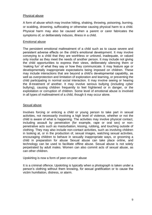#### Physical abuse

A form of abuse which may involve hitting, shaking, throwing, poisoning, burning, or scalding, drowning, suffocating or otherwise causing physical harm to a child. Physical harm may also be caused when a parent or carer fabricates the symptoms of, or deliberately induces, illness in a child.

#### Emotional abuse

The persistent emotional maltreatment of a child such as to cause severe and persistent adverse effects on the child's emotional development. It may involve conveying to a child that they are worthless or unloved, inadequate, or valued only insofar as they meet the needs of another person. It may include not giving the child opportunities to express their views, deliberately silencing them or 'making fun' of what they say or how they communicate. It may feature age or developmentally inappropriate expectations being imposed on children. These may include interactions that are beyond a child's developmental capability, as well as overprotection and limitation of exploration and learning, or preventing the child participating in normal social interaction. It may involve seeing or hearing the ill-treatment of another. It may involve serious bullying (including cyber bullying), causing children frequently to feel frightened or in danger, or the exploitation or corruption of children. Some level of emotional abuse is involved in all types of maltreatment of a child, though it may occur alone.

#### Sexual abuse

Involves forcing or enticing a child or young person to take part in sexual activities, not necessarily involving a high level of violence, whether or not the child is aware of what is happening. The activities may involve physical contact, including assault by penetration (for example, rape or oral sex) or nonpenetrative acts such as masturbation, kissing, rubbing, and touching outside of clothing. They may also include non-contact activities, such as involving children in looking at, or in the production of, sexual images, watching sexual activities, encouraging children to behave in sexually inappropriate ways, or grooming a child in preparation for abuse Sexual abuse can take place online, and technology can be used to facilitate offline abuse. Sexual abuse is not solely perpetrated by adult males. Women can also commit acts of sexual abuse, as can other children.

#### Upskirting is now a form of peer-on-peer abuse

It is a criminal offence. Upskirting is typically when a photograph is taken under a person's clothing without them knowing, for sexual gratification or to cause the victim humiliation, distress, or alarm.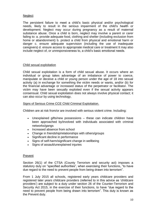#### **Neglect**

The persistent failure to meet a child's basic physical and/or psychological needs, likely to result in the serious impairment of the child's health or development. Neglect may occur during pregnancy as a result of maternal substance abuse. Once a child is born, neglect may involve a parent or carer failing to: a. provide adequate food, clothing and shelter (including exclusion from home or abandonment) b. protect a child from physical and emotional harm or danger c. ensure adequate supervision (including the use of inadequate caregivers) d. ensure access to appropriate medical care or treatment It may also include neglect of, or unresponsiveness to, a child's basic emotional needs.

#### Child sexual exploitation

Child sexual exploitation is a form of child sexual abuse. It occurs where an individual or group takes advantage of an imbalance of power to coerce, manipulate or deceive a child or young person under the age of 18 into sexual activity (a) in exchange for something the victim needs or wants, and/or (b) for the financial advantage or increased status of the perpetrator or facilitator. The victim may have been sexually exploited even if the sexual activity appears consensual. Child sexual exploitation does not always involve physical contact; it can also occur by using technology.

#### Signs of Serious Crime CCE Child Criminal Exploitation.

Children are at risk from/or are involved with serious violent crime. Including:

- Unexplained gifts/new possessions these can indicate children have been approached by/involved with individuals associated with criminal networks/gangs
- Increased absence from school
- Change in friendship/relationships with others/groups
- Significant decline in performance
- Signs of self-harm/significant change in wellbeing
- Signs of assault/unexplained injuries

#### Prevent

Section 26(1) of the CTSA (County Terrorism and security act) imposes a statutory duty on "specified authorities", when exercising their functions, "to have due regard to the need to prevent people from being drawn into terrorism".

From 1 July 2015 all schools, registered early years childcare providers and registered later years childcare providers (referred to in this advice as 'childcare providers') are subject to a duty under section 26 of the Counter-Terrorism and Security Act 2015, in the exercise of their functions, to have "due regard to the need to prevent people from being drawn into terrorism". This duty is known as the Prevent duty.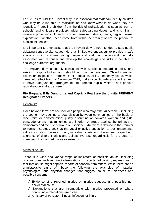For St Eds to fulfil the Prevent duty, it is essential that staff can identify children who may be vulnerable to radicalisation and know what to do when they are identified. Protecting children from the risk of radicalisation is seen as part of schools' and childcare providers' wider safeguarding duties, and is similar in nature to protecting children from other harms (e.g. drugs, gangs, neglect, sexual exploitation), whether these come from within their family or are the product of outside influences.

It is important to emphasise that the Prevent duty is not intended to stop pupils debating controversial issues. Here at St Eds we endeavour to provide a safe space in which children, young people and staff can understand the risks associated with terrorism and develop the knowledge and skills to be able to challenge extremist arguments.

The Prevent duty is entirely consistent with St Eds safeguarding policy and existing responsibilities and should not be burdensome. Ofsted's revised Education Inspection Framework for education, skills, and early years, which came into effect from 14 November 2019, makes specific reference to the need to have safeguarding arrangements to promote pupils' welfare and prevent radicalisation and extremism.

#### **Rio Bygrave, Billy Dunthorne and Capricia Peart are the on-site PREVENT Designated Officers.**

#### **Extremism**

Goes beyond terrorism and includes people who target the vulnerable – including the young – by seeking to sow division between communities on the basis of race, faith or denomination; justify discrimination towards women and girls; persuade others that minorities are inferior; or argue against the primacy of democracy and the rule of law in our society. Extremism is defined in the Counter Extremism Strategy 2015 as the vocal or active opposition to our fundamental values, including the rule of law, individual liberty and the mutual respect and tolerance of different faiths and beliefs. We also regard calls for the death of members of our armed forces as extremist.

#### Signs of Abuse:

There is a wide and varied range of indicators of possible abuse, including obvious ones such as direct observations or reports, admission, expressions of fear that abuse might happen, reports of concern from others. While there are no unmistakable signs of abuse the following are examples of material, psychological and physical changes that suggest cause for alertness and possible concerns:

- a) Evidence of unreported injuries or injuries suggesting a possible non accidental cause
- b) Explanations that are incompatible with injuries presented or where conflicting explanations are given
- c) A history of persistent illness, infection, or injury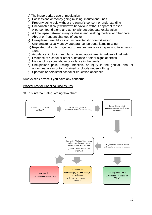- d) The inappropriate use of medication
- e) Possessions or money going missing; insufficient funds
- f) Property being sold without the owner's consent or understanding
- g) Uncharacteristically withdrawn behaviour, without apparent reason
- h) A person found alone and at risk without adequate explanation
- i) A time lapse between injury or illness and seeking medical or other care
- j) Abrupt or frequent changes of doctor
- k) Unexplained weight loss or uncharacteristic comfort eating
- l) Uncharacteristically untidy appearance; personal items missing
- m) Repeated difficulty in getting to see someone or in speaking to a person alone
- n) Avoidance, including regularly missed appointments, refusal of help etc
- o) Evidence of alcohol or other substance or other signs of stress
- p) History of previous abuse or violence in the family
- q) Unexplained pain, itching, infection, or injury in the genital, anal or abdominal areas or torn, stained or bloody underclothing
- r) Sporadic or persistent school or education absences

Always seek advice if you have any concerns

#### Procedures for Handling Disclosures

St Ed's internal Safeguarding flow chart:

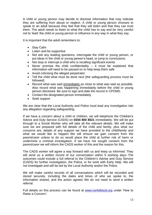A child or young person may decide to disclose information that may indicate they are suffering from abuse or neglect. A child or young person chooses to speak to an adult because they feel that they will listen and that they can trust them. The adult needs to listen to what the child has to say and be very careful not to 'lead' the child or young person or influence in any way in what they say.

It is important that the adult remembers to:

- Stay Calm
- Listen and be supportive
- Not ask any leading questions, interrogate the child or young person, or put ideas in the child or young person's head, or jump to conclusions.
- Not stop or interrupt a child who is recalling significant events
- Never promise the child confidentiality  $-$  it must be explained that information will need to be passed on to help keep them safe
- Avoid criticising the alleged perpetrator
- Tell the child what must be done next (the safeguarding process must be followed)
- Record what was said immediately as close to what was said as possible. Also record what was happening immediately before the child or young person disclosed. Be sure to sign and date the record in CPOMS.
- Contact the designated person immediately
- Seek support

We are clear that the Local Authority and Police must lead any investigation into any allegation regarding safeguarding.

If we have a concern about a child or children, we will telephone the Children's Advice and Duty Service (CADS) on **0344 800 8021** immediately. We will be put through to a Social Worker who will take all the relevant details. We will make sure we are prepared with full details of the child and family, plus what our concerns are, details of any support we have provided to the child/family and what we would like to happen. We will ensure we gain consent from the parent/carer unless to do so would place the child at further risk of harm or undermine a criminal investigation. If we have not sought consent from the parent/carer we will inform the CADS worker of this and the reason for this.

The CADS worker will agree a way forward with us and keep us informed. They will send us a written record of our conversation within 5 working days. The outcomes could include a full referral to the Children's Advise and Duty Service (CADS) for further investigation, the Police, or for work with Early Help. We will not investigate and will be led by the Local Authority and/or the Police.

We will make careful records of all conversations which will be recorded and stored securely, including the dates and times of who we spoke to, the information shared, and the action agreed. We do not need to send a written referral.

Full details on this process can be found at [www.norfolklscb.org](http://www.norfolklscb.org/) under 'How to Raise a Concern'.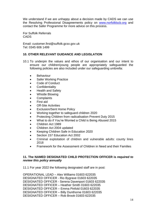We understand if we are unhappy about a decision made by CADS we can use the Resolving Professional Disagreements policy on [www.norfolklscb.org](http://www.norfolklscb.org/) and contact the Safer Programme for more advice on this process.

For Suffolk Referrals CADS

Email: customer.first@suffolk.gcsx.gov.uk Tel: 0345 606 1499

# **10. OTHER RELEVANT GUIDANCE AND LEGISLATION**

- 10.1 To underpin the values and ethos of our organisation and our intent to ensure our children/young people are appropriately safeguarded the following policies are also included under our safeguarding umbrella:
	- Behaviour
	- Safer Working Practice
	- Code of Conduct
	- **Confidentiality**
	- Health and Safety
	- Whistle Blowing
	- **Complaints**
	- First aid
	- Off-Site Activities
	- Exclusion/Sent Home Policv
	- Working together to safeguard children 2020
	- Protecting Children from radicalisation Prevent Duty 2015
	- What to do if You're Worried a Child is Being Abused 2015
	- Children Act 1989
	- Children Act 2004 updated
	- Keeping Children Safe in Education 2020
	- Section 157 Education Act 2002
	- Criminal exploitation of children and vulnerable adults: county lines 2018
	- Framework for the Assessment of Children in Need and their Families

#### **11. The NAMED DESIGNATED CHILD PROTECTION OFFICER is** *required to review this policy annually*

11.1 For year 2022 the following designated staff are in post:

OPERATIONAL LEAD – Alex Williams 01603 622035 DESIGNATED OFFICER - Rio Bygrave 01603 622035 DESIGNATED OFFICER - Serena Davenport 01603 622035 DESIGNATED OFFICER – Heather Smith 01603 622035 DESIGNATED OFFICER – Emma Pinfold 01603 622035 DESIGNATED OFFICER – Billy Dunthorne 01603 622035 DESIGNATED OFFICER – Rob Brook 01603 622035